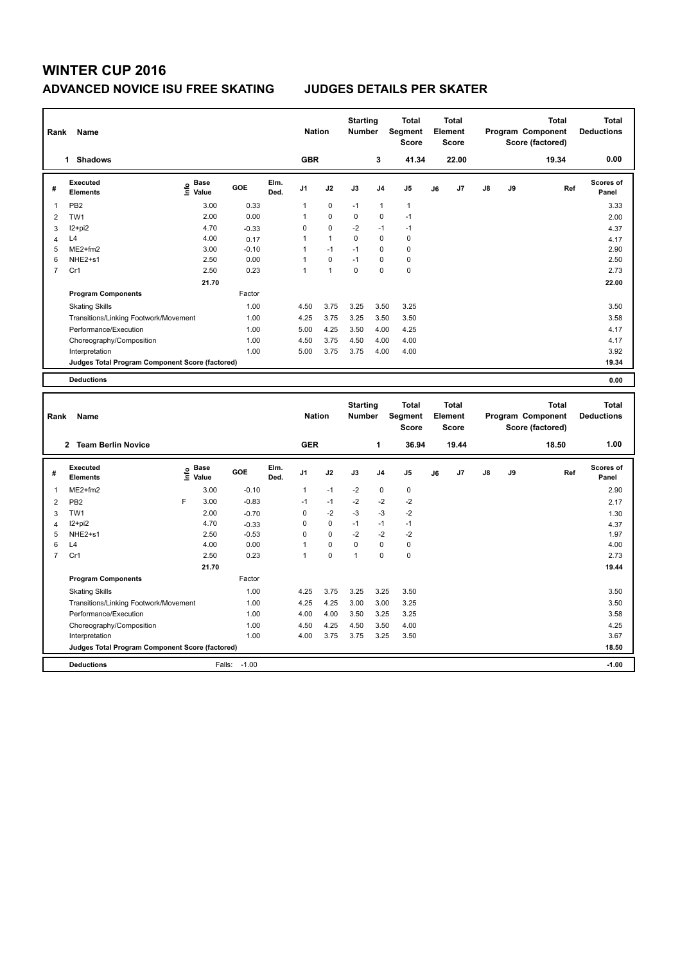## **WINTER CUP 2016 ADVANCED NOVICE ISU FREE SKATING JUDGES DETAILS PER SKATER**

| Rank           | Name                                            |                                             |         |              | <b>Nation</b>  |              | <b>Starting</b><br><b>Number</b> |                | <b>Total</b><br>Segment<br><b>Score</b> |    | <b>Total</b><br>Element<br><b>Score</b> |               |    | <b>Total</b><br>Program Component<br>Score (factored) | Total<br><b>Deductions</b> |
|----------------|-------------------------------------------------|---------------------------------------------|---------|--------------|----------------|--------------|----------------------------------|----------------|-----------------------------------------|----|-----------------------------------------|---------------|----|-------------------------------------------------------|----------------------------|
|                | <b>Shadows</b><br>$\mathbf 1$                   |                                             |         |              | <b>GBR</b>     |              |                                  | 3              | 41.34                                   |    | 22.00                                   |               |    | 19.34                                                 | 0.00                       |
| #              | Executed<br><b>Elements</b>                     | <b>Base</b><br>e <sup>Base</sup><br>⊆ Value | GOE     | Elm.<br>Ded. | J <sub>1</sub> | J2           | J3                               | J <sub>4</sub> | J <sub>5</sub>                          | J6 | J7                                      | $\mathsf{J}8$ | J9 | Ref                                                   | <b>Scores of</b><br>Panel  |
| 1              | PB <sub>2</sub>                                 | 3.00                                        | 0.33    |              | $\mathbf{1}$   | $\mathbf 0$  | $-1$                             | $\mathbf{1}$   | $\mathbf{1}$                            |    |                                         |               |    |                                                       | 3.33                       |
| $\overline{2}$ | TW <sub>1</sub>                                 | 2.00                                        | 0.00    |              | 1              | $\mathbf 0$  | $\mathbf 0$                      | $\mathbf 0$    | $-1$                                    |    |                                         |               |    |                                                       | 2.00                       |
| 3              | I2+pi2                                          | 4.70                                        | $-0.33$ |              | 0              | $\mathbf 0$  | $-2$                             | $-1$           | $-1$                                    |    |                                         |               |    |                                                       | 4.37                       |
| 4              | L4                                              | 4.00                                        | 0.17    |              | 1              | $\mathbf{1}$ | 0                                | 0              | 0                                       |    |                                         |               |    |                                                       | 4.17                       |
| 5              | $ME2+fm2$                                       | 3.00                                        | $-0.10$ |              | $\mathbf{1}$   | $-1$         | $-1$                             | 0              | 0                                       |    |                                         |               |    |                                                       | 2.90                       |
| 6              | NHE <sub>2+s1</sub>                             | 2.50                                        | 0.00    |              | $\mathbf{1}$   | $\mathbf 0$  | $-1$                             | 0              | 0                                       |    |                                         |               |    |                                                       | 2.50                       |
| $\overline{7}$ | Cr1                                             | 2.50                                        | 0.23    |              | 1              | $\mathbf{1}$ | 0                                | $\Omega$       | $\pmb{0}$                               |    |                                         |               |    |                                                       | 2.73                       |
|                |                                                 | 21.70                                       |         |              |                |              |                                  |                |                                         |    |                                         |               |    |                                                       | 22.00                      |
|                | <b>Program Components</b>                       |                                             | Factor  |              |                |              |                                  |                |                                         |    |                                         |               |    |                                                       |                            |
|                | <b>Skating Skills</b>                           |                                             | 1.00    |              | 4.50           | 3.75         | 3.25                             | 3.50           | 3.25                                    |    |                                         |               |    |                                                       | 3.50                       |
|                | Transitions/Linking Footwork/Movement           |                                             | 1.00    |              | 4.25           | 3.75         | 3.25                             | 3.50           | 3.50                                    |    |                                         |               |    |                                                       | 3.58                       |
|                | Performance/Execution                           |                                             | 1.00    |              | 5.00           | 4.25         | 3.50                             | 4.00           | 4.25                                    |    |                                         |               |    |                                                       | 4.17                       |
|                | Choreography/Composition                        |                                             | 1.00    |              | 4.50           | 3.75         | 4.50                             | 4.00           | 4.00                                    |    |                                         |               |    |                                                       | 4.17                       |
|                | Interpretation                                  |                                             | 1.00    |              | 5.00           | 3.75         | 3.75                             | 4.00           | 4.00                                    |    |                                         |               |    |                                                       | 3.92                       |
|                | Judges Total Program Component Score (factored) |                                             |         |              |                |              |                                  |                |                                         |    |                                         |               |    |                                                       | 19.34                      |
|                | <b>Deductions</b>                               |                                             |         |              |                |              |                                  |                |                                         |    |                                         |               |    |                                                       | 0.00                       |

| Name<br>Rank   |                                                 |   |                                  |         |              |                | <b>Nation</b> |      | <b>Starting</b><br><b>Number</b> | <b>Total</b><br>Segment<br><b>Score</b> | Total<br>Element<br><b>Score</b> |                | Total<br>Program Component<br>Score (factored) |    |       | Total<br><b>Deductions</b> |
|----------------|-------------------------------------------------|---|----------------------------------|---------|--------------|----------------|---------------|------|----------------------------------|-----------------------------------------|----------------------------------|----------------|------------------------------------------------|----|-------|----------------------------|
|                | <b>Team Berlin Novice</b><br>$\overline{2}$     |   |                                  |         |              | <b>GER</b>     |               |      | 1                                | 36.94                                   |                                  | 19.44          |                                                |    | 18.50 | 1.00                       |
| #              | Executed<br><b>Elements</b>                     |   | <b>Base</b><br>e Base<br>E Value | GOE     | Elm.<br>Ded. | J <sub>1</sub> | J2            | J3   | J <sub>4</sub>                   | J <sub>5</sub>                          | J6                               | J <sub>7</sub> | $\mathsf{J}8$                                  | J9 | Ref   | <b>Scores of</b><br>Panel  |
| 1              | $ME2+fm2$                                       |   | 3.00                             | $-0.10$ |              | $\mathbf{1}$   | $-1$          | $-2$ | $\mathbf 0$                      | $\mathbf 0$                             |                                  |                |                                                |    |       | 2.90                       |
| 2              | PB <sub>2</sub>                                 | F | 3.00                             | $-0.83$ |              | $-1$           | $-1$          | $-2$ | $-2$                             | $-2$                                    |                                  |                |                                                |    |       | 2.17                       |
| 3              | TW1                                             |   | 2.00                             | $-0.70$ |              | 0              | $-2$          | $-3$ | $-3$                             | $-2$                                    |                                  |                |                                                |    |       | 1.30                       |
| $\overline{4}$ | I2+pi2                                          |   | 4.70                             | $-0.33$ |              | 0              | $\mathbf 0$   | $-1$ | $-1$                             | $-1$                                    |                                  |                |                                                |    |       | 4.37                       |
| 5              | NHE2+s1                                         |   | 2.50                             | $-0.53$ |              | 0              | $\mathbf 0$   | $-2$ | $-2$                             | $-2$                                    |                                  |                |                                                |    |       | 1.97                       |
| 6              | L4                                              |   | 4.00                             | 0.00    |              | 1              | $\mathbf 0$   | 0    | 0                                | 0                                       |                                  |                |                                                |    |       | 4.00                       |
| $\overline{7}$ | Cr1                                             |   | 2.50                             | 0.23    |              | 1              | $\mathbf 0$   | 1    | 0                                | $\mathbf 0$                             |                                  |                |                                                |    |       | 2.73                       |
|                |                                                 |   | 21.70                            |         |              |                |               |      |                                  |                                         |                                  |                |                                                |    |       | 19.44                      |
|                | <b>Program Components</b>                       |   |                                  | Factor  |              |                |               |      |                                  |                                         |                                  |                |                                                |    |       |                            |
|                | <b>Skating Skills</b>                           |   |                                  | 1.00    |              | 4.25           | 3.75          | 3.25 | 3.25                             | 3.50                                    |                                  |                |                                                |    |       | 3.50                       |
|                | Transitions/Linking Footwork/Movement           |   |                                  | 1.00    |              | 4.25           | 4.25          | 3.00 | 3.00                             | 3.25                                    |                                  |                |                                                |    |       | 3.50                       |
|                | Performance/Execution                           |   |                                  | 1.00    |              | 4.00           | 4.00          | 3.50 | 3.25                             | 3.25                                    |                                  |                |                                                |    |       | 3.58                       |
|                | Choreography/Composition                        |   |                                  | 1.00    |              | 4.50           | 4.25          | 4.50 | 3.50                             | 4.00                                    |                                  |                |                                                |    |       | 4.25                       |
|                | Interpretation                                  |   |                                  | 1.00    |              | 4.00           | 3.75          | 3.75 | 3.25                             | 3.50                                    |                                  |                |                                                |    |       | 3.67                       |
|                | Judges Total Program Component Score (factored) |   |                                  |         |              |                |               |      |                                  |                                         |                                  |                |                                                |    |       | 18.50                      |
|                | <b>Deductions</b>                               |   | Falls:                           | $-1.00$ |              |                |               |      |                                  |                                         |                                  |                |                                                |    |       | $-1.00$                    |